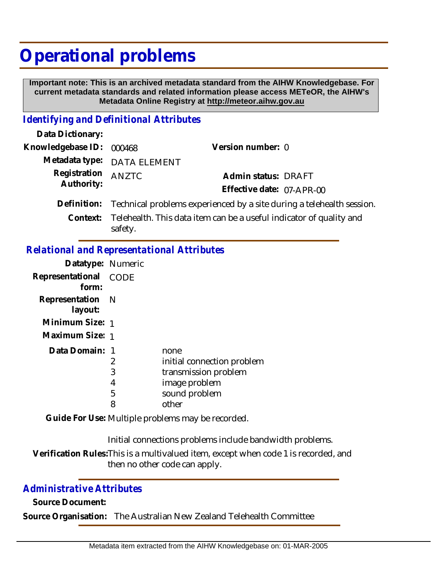# **Operational problems**

 **Important note: This is an archived metadata standard from the AIHW Knowledgebase. For current metadata standards and related information please access METeOR, the AIHW's Metadata Online Registry at http://meteor.aihw.gov.au**

### *Identifying and Definitional Attributes*

| Data Dictionary:  |                                                                              |                           |  |
|-------------------|------------------------------------------------------------------------------|---------------------------|--|
| Knowledgebase ID: | 000468                                                                       | Version number: 0         |  |
|                   | Metadata type: DATA ELEMENT                                                  |                           |  |
| Registration      | <b>ANZTC</b>                                                                 | Admin status: DRAFT       |  |
| Authority:        |                                                                              | Effective date: 07-APR-00 |  |
| Definition:       | Technical problems experienced by a site during a telehealth session.        |                           |  |
|                   | Context: Telehealth. This data item can be a useful indicator of quality and |                           |  |

safety.

## *Relational and Representational Attributes*

| Datatype: Numeric           |             |                            |
|-----------------------------|-------------|----------------------------|
| Representational<br>form:   | <b>CODE</b> |                            |
| Representation N<br>layout: |             |                            |
| Minimum Size: 1             |             |                            |
| Maximum Size: 1             |             |                            |
| Data Domain: 1              |             | none                       |
|                             | 2           | initial connection problem |
|                             | 3           | transmission problem       |
|                             | 4           | image problem              |
|                             | 5           | sound problem              |
|                             | 8           | other                      |

Guide For Use: Multiple problems may be recorded.

Initial connections problems include bandwidth problems.

Verification Rules:This is a multivalued item, except when code 1 is recorded, and then no other code can apply.

### *Administrative Attributes*

**Source Document:**

**Source Organisation:** The Australian New Zealand Telehealth Committee